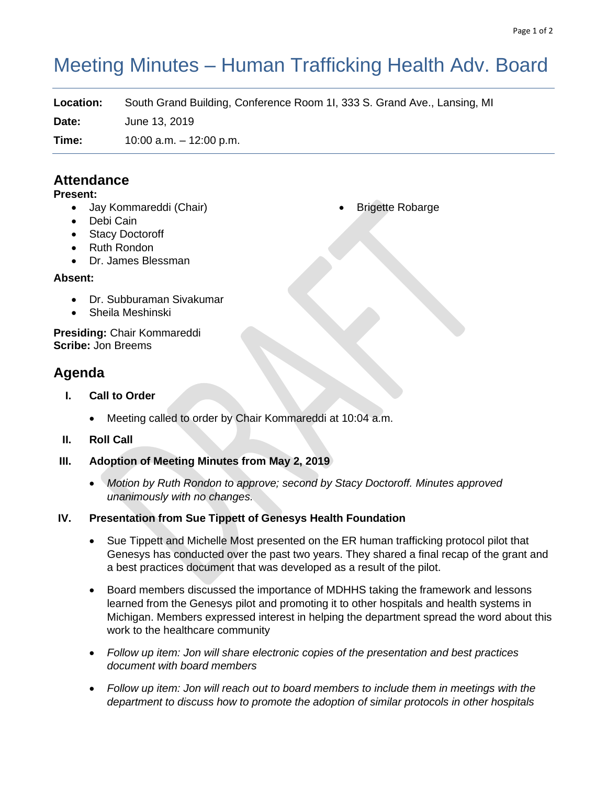# Meeting Minutes – Human Trafficking Health Adv. Board

**Location:** South Grand Building, Conference Room 1I, 333 S. Grand Ave., Lansing, MI **Date:** June 13, 2019

**Time:** 10:00 a.m. – 12:00 p.m.

### **Attendance**

#### **Present:**

- Jay Kommareddi (Chair)
- Debi Cain
- Stacy Doctoroff
- Ruth Rondon
- Dr. James Blessman

#### **Absent:**

- Dr. Subburaman Sivakumar
- Sheila Meshinski

**Presiding:** Chair Kommareddi **Scribe:** Jon Breems

## **Agenda**

- **I. Call to Order**
	- Meeting called to order by Chair Kommareddi at 10:04 a.m.
- **II. Roll Call**
- **III. Adoption of Meeting Minutes from May 2, 2019**
	- *Motion by Ruth Rondon to approve; second by Stacy Doctoroff. Minutes approved unanimously with no changes.*

#### **IV. Presentation from Sue Tippett of Genesys Health Foundation**

- Sue Tippett and Michelle Most presented on the ER human trafficking protocol pilot that Genesys has conducted over the past two years. They shared a final recap of the grant and a best practices document that was developed as a result of the pilot.
- Board members discussed the importance of MDHHS taking the framework and lessons learned from the Genesys pilot and promoting it to other hospitals and health systems in Michigan. Members expressed interest in helping the department spread the word about this work to the healthcare community
- *Follow up item: Jon will share electronic copies of the presentation and best practices document with board members*
- *Follow up item: Jon will reach out to board members to include them in meetings with the department to discuss how to promote the adoption of similar protocols in other hospitals*

**Brigette Robarge**